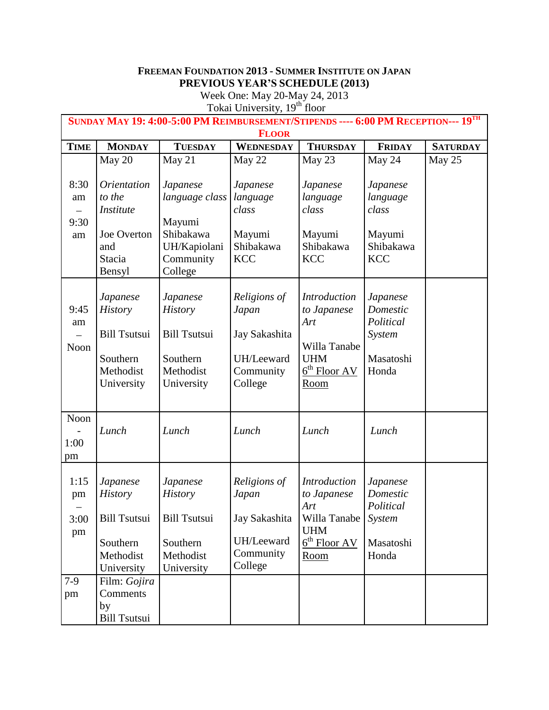## **FREEMAN FOUNDATION 2013 - SUMMER INSTITUTE ON JAPAN PREVIOUS YEAR'S SCHEDULE (2013)**

Week One: May 20-May 24, 2013

Tokai University, 19<sup>th</sup> floor

| SUNDAY MAY 19: 4:00-5:00 PM REIMBURSEMENT/STIPENDS ---- 6:00 PM RECEPTION--- 19 <sup>TH</sup><br><b>FLOOR</b> |                                                                                                   |                                                                                                 |                                                                              |                                                                                                                                |                                                                    |                 |  |
|---------------------------------------------------------------------------------------------------------------|---------------------------------------------------------------------------------------------------|-------------------------------------------------------------------------------------------------|------------------------------------------------------------------------------|--------------------------------------------------------------------------------------------------------------------------------|--------------------------------------------------------------------|-----------------|--|
| <b>TIME</b>                                                                                                   | <b>MONDAY</b>                                                                                     | <b>TUESDAY</b>                                                                                  | WEDNESDAY                                                                    | <b>THURSDAY</b>                                                                                                                | <b>FRIDAY</b>                                                      | <b>SATURDAY</b> |  |
|                                                                                                               | May 20                                                                                            | May 21                                                                                          | May 22                                                                       | May 23                                                                                                                         | May 24                                                             | May 25          |  |
| 8:30<br>am<br>$\equiv$<br>9:30<br>am                                                                          | <i>Orientation</i><br>to the<br><i>Institute</i><br>Joe Overton<br>and<br><b>Stacia</b><br>Bensyl | Japanese<br>language class<br>Mayumi<br>Shibakawa<br>UH/Kapiolani<br>Community<br>College       | Japanese<br>language<br>class<br>Mayumi<br>Shibakawa<br><b>KCC</b>           | Japanese<br>language<br>class<br>Mayumi<br>Shibakawa<br><b>KCC</b>                                                             | Japanese<br>language<br>class<br>Mayumi<br>Shibakawa<br><b>KCC</b> |                 |  |
| 9:45<br>am<br>Noon                                                                                            | Japanese<br><b>History</b><br><b>Bill Tsutsui</b><br>Southern<br>Methodist<br>University          | Japanese<br><b>History</b><br><b>Bill Tsutsui</b><br>Southern<br>Methodist<br>University        | Religions of<br>Japan<br>Jay Sakashita<br>UH/Leeward<br>Community<br>College | <b>Introduction</b><br>to Japanese<br>Art<br>Willa Tanabe<br><b>UHM</b><br>$\underline{6}^{\text{th}}$ Floor AV<br><u>Room</u> | Japanese<br>Domestic<br>Political<br>System<br>Masatoshi<br>Honda  |                 |  |
| Noon<br>1:00<br>pm                                                                                            | Lunch                                                                                             | Lunch                                                                                           | Lunch                                                                        | Lunch                                                                                                                          | Lunch                                                              |                 |  |
| 1:15<br>pm<br>3:00<br>pm                                                                                      | Japanese<br><b>History</b><br><b>Bill Tsutsui</b><br>Southern<br>Methodist<br>University          | <b>Japanese</b><br><b>History</b><br><b>Bill Tsutsui</b><br>Southern<br>Methodist<br>University | Religions of<br>Japan<br>Jay Sakashita<br>UH/Leeward<br>Community<br>College | <b>Introduction</b><br>to Japanese<br>Art<br>Willa Tanabe<br><b>UHM</b><br>$6th$ Floor AV<br><b>Room</b>                       | Japanese<br>Domestic<br>Political<br>System<br>Masatoshi<br>Honda  |                 |  |
| $7-9$<br>pm                                                                                                   | Film: Gojira<br>Comments<br>by<br><b>Bill Tsutsui</b>                                             |                                                                                                 |                                                                              |                                                                                                                                |                                                                    |                 |  |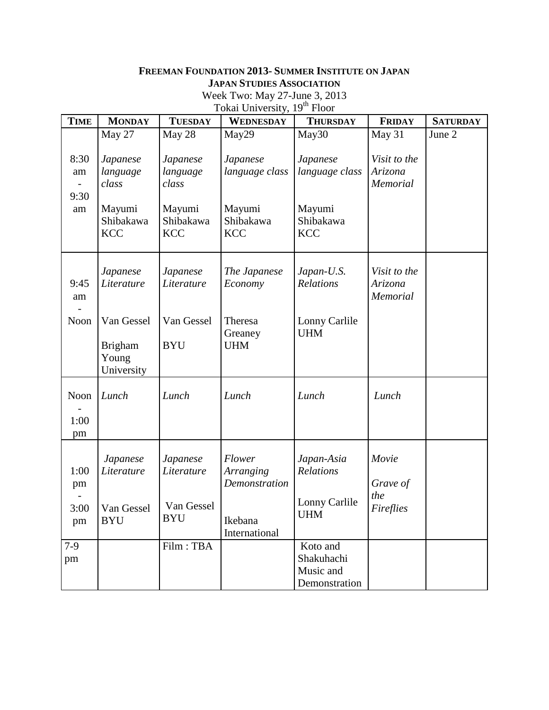## **FREEMAN FOUNDATION 2013- SUMMER INSTITUTE ON JAPAN JAPAN STUDIES ASSOCIATION**

Week Two: May 27-June 3, 2013

| <b>TIME</b>                               | <b>MONDAY</b>                                                      | <b>TUESDAY</b>                                                     | WEDNESDAY                                                       | <b>THURSDAY</b>                                                 | <b>FRIDAY</b>                       | <b>SATURDAY</b> |
|-------------------------------------------|--------------------------------------------------------------------|--------------------------------------------------------------------|-----------------------------------------------------------------|-----------------------------------------------------------------|-------------------------------------|-----------------|
|                                           | May 27                                                             | May 28                                                             | May29                                                           | May30                                                           | May 31                              | June 2          |
| 8:30<br>am<br>$\frac{1}{2}$<br>9:30<br>am | Japanese<br>language<br>class<br>Mayumi<br>Shibakawa<br><b>KCC</b> | Japanese<br>language<br>class<br>Mayumi<br>Shibakawa<br><b>KCC</b> | Japanese<br>language class<br>Mayumi<br>Shibakawa<br><b>KCC</b> | Japanese<br>language class<br>Mayumi<br>Shibakawa<br><b>KCC</b> | Visit to the<br>Arizona<br>Memorial |                 |
| 9:45<br>am                                | Japanese<br>Literature                                             | Japanese<br>Literature                                             | The Japanese<br>Economy                                         | Japan-U.S.<br>Relations                                         | Visit to the<br>Arizona<br>Memorial |                 |
| Noon                                      | Van Gessel<br><b>Brigham</b><br>Young<br>University                | Van Gessel<br><b>BYU</b>                                           | Theresa<br>Greaney<br><b>UHM</b>                                | Lonny Carlile<br><b>UHM</b>                                     |                                     |                 |
| Noon<br>1:00<br>pm                        | Lunch                                                              | Lunch                                                              | Lunch                                                           | Lunch                                                           | Lunch                               |                 |
| 1:00<br>pm                                | Japanese<br>Literature                                             | Japanese<br>Literature                                             | Flower<br><b>Arranging</b><br>Demonstration                     | Japan-Asia<br>Relations<br>Lonny Carlile                        | Movie<br>Grave of<br>the            |                 |
| 3:00<br>pm                                | Van Gessel<br><b>BYU</b>                                           | Van Gessel<br><b>BYU</b>                                           | Ikebana<br>International                                        | <b>UHM</b>                                                      | Fireflies                           |                 |
| $7-9$<br>pm                               |                                                                    | Film: TBA                                                          |                                                                 | Koto and<br>Shakuhachi<br>Music and<br>Demonstration            |                                     |                 |

Tokai University, 19<sup>th</sup> Floor